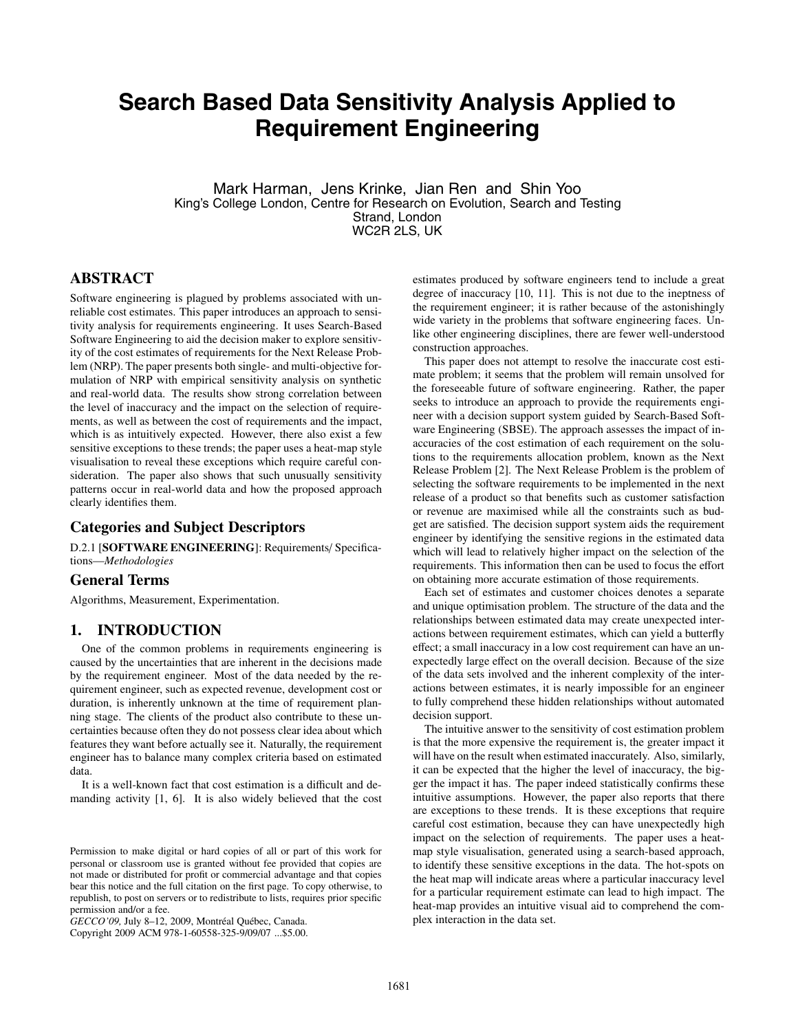# **Search Based Data Sensitivity Analysis Applied to Requirement Engineering**

Mark Harman, Jens Krinke, Jian Ren and Shin Yoo King's College London, Centre for Research on Evolution, Search and Testing Strand, London WC2R 2LS, UK

# **ABSTRACT**

Software engineering is plagued by problems associated with unreliable cost estimates. This paper introduces an approach to sensitivity analysis for requirements engineering. It uses Search-Based Software Engineering to aid the decision maker to explore sensitivity of the cost estimates of requirements for the Next Release Problem (NRP). The paper presents both single- and multi-objective formulation of NRP with empirical sensitivity analysis on synthetic and real-world data. The results show strong correlation between the level of inaccuracy and the impact on the selection of requirements, as well as between the cost of requirements and the impact, which is as intuitively expected. However, there also exist a few sensitive exceptions to these trends; the paper uses a heat-map style visualisation to reveal these exceptions which require careful consideration. The paper also shows that such unusually sensitivity patterns occur in real-world data and how the proposed approach clearly identifies them.

## **Categories and Subject Descriptors**

D.2.1 [**SOFTWARE ENGINEERING**]: Requirements/ Specifications—*Methodologies*

#### **General Terms**

Algorithms, Measurement, Experimentation.

## **1. INTRODUCTION**

One of the common problems in requirements engineering is caused by the uncertainties that are inherent in the decisions made by the requirement engineer. Most of the data needed by the requirement engineer, such as expected revenue, development cost or duration, is inherently unknown at the time of requirement planning stage. The clients of the product also contribute to these uncertainties because often they do not possess clear idea about which features they want before actually see it. Naturally, the requirement engineer has to balance many complex criteria based on estimated data.

It is a well-known fact that cost estimation is a difficult and demanding activity [1, 6]. It is also widely believed that the cost

Copyright 2009 ACM 978-1-60558-325-9/09/07 ...\$5.00.

estimates produced by software engineers tend to include a great degree of inaccuracy [10, 11]. This is not due to the ineptness of the requirement engineer; it is rather because of the astonishingly wide variety in the problems that software engineering faces. Unlike other engineering disciplines, there are fewer well-understood construction approaches.

This paper does not attempt to resolve the inaccurate cost estimate problem; it seems that the problem will remain unsolved for the foreseeable future of software engineering. Rather, the paper seeks to introduce an approach to provide the requirements engineer with a decision support system guided by Search-Based Software Engineering (SBSE). The approach assesses the impact of inaccuracies of the cost estimation of each requirement on the solutions to the requirements allocation problem, known as the Next Release Problem [2]. The Next Release Problem is the problem of selecting the software requirements to be implemented in the next release of a product so that benefits such as customer satisfaction or revenue are maximised while all the constraints such as budget are satisfied. The decision support system aids the requirement engineer by identifying the sensitive regions in the estimated data which will lead to relatively higher impact on the selection of the requirements. This information then can be used to focus the effort on obtaining more accurate estimation of those requirements.

Each set of estimates and customer choices denotes a separate and unique optimisation problem. The structure of the data and the relationships between estimated data may create unexpected interactions between requirement estimates, which can yield a butterfly effect; a small inaccuracy in a low cost requirement can have an unexpectedly large effect on the overall decision. Because of the size of the data sets involved and the inherent complexity of the interactions between estimates, it is nearly impossible for an engineer to fully comprehend these hidden relationships without automated decision support.

The intuitive answer to the sensitivity of cost estimation problem is that the more expensive the requirement is, the greater impact it will have on the result when estimated inaccurately. Also, similarly, it can be expected that the higher the level of inaccuracy, the bigger the impact it has. The paper indeed statistically confirms these intuitive assumptions. However, the paper also reports that there are exceptions to these trends. It is these exceptions that require careful cost estimation, because they can have unexpectedly high impact on the selection of requirements. The paper uses a heatmap style visualisation, generated using a search-based approach, to identify these sensitive exceptions in the data. The hot-spots on the heat map will indicate areas where a particular inaccuracy level for a particular requirement estimate can lead to high impact. The heat-map provides an intuitive visual aid to comprehend the complex interaction in the data set.

Permission to make digital or hard copies of all or part of this work for personal or classroom use is granted without fee provided that copies are not made or distributed for profit or commercial advantage and that copies bear this notice and the full citation on the first page. To copy otherwise, to republish, to post on servers or to redistribute to lists, requires prior specific permission and/or a fee.

*GECCO'09,* July 8–12, 2009, Montréal Québec, Canada.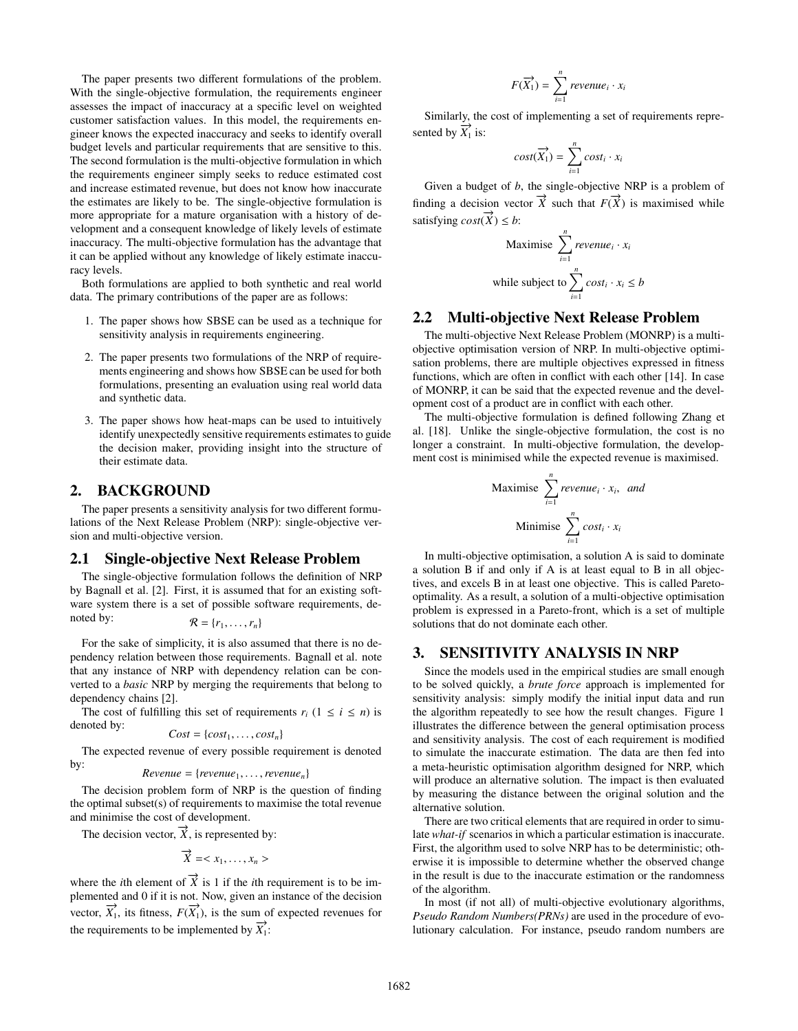The paper presents two different formulations of the problem. With the single-objective formulation, the requirements engineer assesses the impact of inaccuracy at a specific level on weighted customer satisfaction values. In this model, the requirements engineer knows the expected inaccuracy and seeks to identify overall budget levels and particular requirements that are sensitive to this. The second formulation is the multi-objective formulation in which the requirements engineer simply seeks to reduce estimated cost and increase estimated revenue, but does not know how inaccurate the estimates are likely to be. The single-objective formulation is more appropriate for a mature organisation with a history of development and a consequent knowledge of likely levels of estimate inaccuracy. The multi-objective formulation has the advantage that it can be applied without any knowledge of likely estimate inaccuracy levels.

Both formulations are applied to both synthetic and real world data. The primary contributions of the paper are as follows:

- 1. The paper shows how SBSE can be used as a technique for sensitivity analysis in requirements engineering.
- 2. The paper presents two formulations of the NRP of requirements engineering and shows how SBSE can be used for both formulations, presenting an evaluation using real world data and synthetic data.
- 3. The paper shows how heat-maps can be used to intuitively identify unexpectedly sensitive requirements estimates to guide the decision maker, providing insight into the structure of their estimate data.

## **2. BACKGROUND**

The paper presents a sensitivity analysis for two different formulations of the Next Release Problem (NRP): single-objective version and multi-objective version.

## **2.1 Single-objective Next Release Problem**

The single-objective formulation follows the definition of NRP by Bagnall et al. [2]. First, it is assumed that for an existing software system there is a set of possible software requirements, denoted by:

$$
\mathcal{R} = \{r_1, \ldots, r_n\}
$$

For the sake of simplicity, it is also assumed that there is no dependency relation between those requirements. Bagnall et al. note that any instance of NRP with dependency relation can be converted to a *basic* NRP by merging the requirements that belong to dependency chains [2].

The cost of fulfilling this set of requirements  $r_i$  ( $1 \le i \le n$ ) is denoted by:

$$
Cost = \{cost_1, \ldots, cost_n\}
$$

The expected revenue of every possible requirement is denoted by:  $Revenue = \{revenue_1, \ldots, revenue_n\}$ 

$$
Revenue = \{ revenue_1, \ldots, revenue_n\}
$$

The decision problem form of NRP is the question of finding the optimal subset(s) of requirements to maximise the total revenue and minimise the cost of development.

The decision vector,  $\overrightarrow{X}$ , is represented by:

$$
\overrightarrow{X} =
$$

where the *i*th element of  $\vec{X}$  is 1 if the *i*th requirement is to be implemented and 0 if it is not. Now, given an instance of the decision vector,  $\overrightarrow{X}_1$ , its fitness,  $F(\overrightarrow{X}_1)$ , is the sum of expected revenues for the requirements to be implemented by  $\overrightarrow{X_1}$ :

$$
F(\overrightarrow{X_1}) = \sum_{i=1}^n revenue_i \cdot x_i
$$

Similarly, the cost of implementing a set of requirements represented by  $\overrightarrow{X_1}$  is:

$$
cost(\overrightarrow{X_1}) = \sum_{i=1}^{n} cost_i \cdot x_i
$$

Given a budget of *b*, the single-objective NRP is a problem of finding a decision vector  $\overrightarrow{X}$  such that  $F(\overrightarrow{X})$  is maximised while satisfying *cost*( $\overrightarrow{X}$ ) ≤ *b*:

Maximise 
$$
\sum_{i=1}^{n} revenue_i \cdot x_i
$$
while subject to 
$$
\sum_{i=1}^{n} cost_i \cdot x_i \leq b
$$

## **2.2 Multi-objective Next Release Problem**

The multi-objective Next Release Problem (MONRP) is a multiobjective optimisation version of NRP. In multi-objective optimisation problems, there are multiple objectives expressed in fitness functions, which are often in conflict with each other [14]. In case of MONRP, it can be said that the expected revenue and the development cost of a product are in conflict with each other.

The multi-objective formulation is defined following Zhang et al. [18]. Unlike the single-objective formulation, the cost is no longer a constraint. In multi-objective formulation, the development cost is minimised while the expected revenue is maximised.

Maximise 
$$
\sum_{i=1}^{n} revenue_i \cdot x_i
$$
, and  
Minimise  $\sum_{i=1}^{n} cost_i \cdot x_i$ 

In multi-objective optimisation, a solution A is said to dominate a solution B if and only if A is at least equal to B in all objectives, and excels B in at least one objective. This is called Paretooptimality. As a result, a solution of a multi-objective optimisation problem is expressed in a Pareto-front, which is a set of multiple solutions that do not dominate each other.

## **3. SENSITIVITY ANALYSIS IN NRP**

Since the models used in the empirical studies are small enough to be solved quickly, a *brute force* approach is implemented for sensitivity analysis: simply modify the initial input data and run the algorithm repeatedly to see how the result changes. Figure 1 illustrates the difference between the general optimisation process and sensitivity analysis. The cost of each requirement is modified to simulate the inaccurate estimation. The data are then fed into a meta-heuristic optimisation algorithm designed for NRP, which will produce an alternative solution. The impact is then evaluated by measuring the distance between the original solution and the alternative solution.

There are two critical elements that are required in order to simulate *what-if* scenarios in which a particular estimation is inaccurate. First, the algorithm used to solve NRP has to be deterministic; otherwise it is impossible to determine whether the observed change in the result is due to the inaccurate estimation or the randomness of the algorithm.

In most (if not all) of multi-objective evolutionary algorithms, *Pseudo Random Numbers(PRNs)* are used in the procedure of evolutionary calculation. For instance, pseudo random numbers are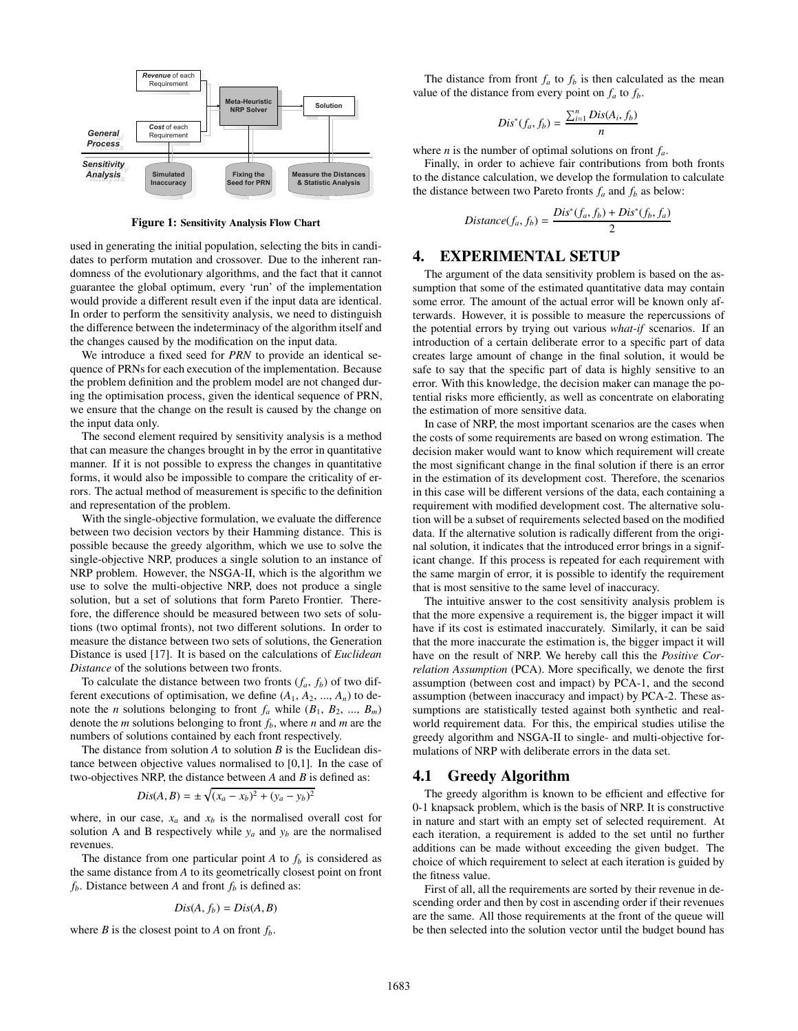

**Figure 1: Sensitivity Analysis Flow Chart**

used in generating the initial population, selecting the bits in candidates to perform mutation and crossover. Due to the inherent randomness of the evolutionary algorithms, and the fact that it cannot guarantee the global optimum, every 'run' of the implementation would provide a different result even if the input data are identical. In order to perform the sensitivity analysis, we need to distinguish the difference between the indeterminacy of the algorithm itself and the changes caused by the modification on the input data.

We introduce a fixed seed for *PRN* to provide an identical sequence of PRNs for each execution of the implementation. Because the problem definition and the problem model are not changed during the optimisation process, given the identical sequence of PRN, we ensure that the change on the result is caused by the change on the input data only.

The second element required by sensitivity analysis is a method that can measure the changes brought in by the error in quantitative manner. If it is not possible to express the changes in quantitative forms, it would also be impossible to compare the criticality of errors. The actual method of measurement is specific to the definition and representation of the problem.

With the single-objective formulation, we evaluate the difference between two decision vectors by their Hamming distance. This is possible because the greedy algorithm, which we use to solve the single-objective NRP, produces a single solution to an instance of NRP problem. However, the NSGA-II, which is the algorithm we use to solve the multi-objective NRP, does not produce a single solution, but a set of solutions that form Pareto Frontier. Therefore, the difference should be measured between two sets of solutions (two optimal fronts), not two different solutions. In order to measure the distance between two sets of solutions, the Generation Distance is used [17]. It is based on the calculations of *Euclidean Distance* of the solutions between two fronts.

To calculate the distance between two fronts  $(f_a, f_b)$  of two different executions of optimisation, we define  $(A_1, A_2, ..., A_n)$  to denote the *n* solutions belonging to front  $f_a$  while  $(B_1, B_2, ..., B_m)$ denote the  $m$  solutions belonging to front  $f_b$ , where  $n$  and  $m$  are the numbers of solutions contained by each front respectively.

The distance from solution *A* to solution *B* is the Euclidean distance between objective values normalised to [0,1]. In the case of two-objectives NRP, the distance between *A* and *B* is defined as:

$$
Dis(A, B) = \pm \sqrt{(x_a - x_b)^2 + (y_a - y_b)^2}
$$

where, in our case,  $x_a$  and  $x_b$  is the normalised overall cost for solution A and B respectively while  $y_a$  and  $y_b$  are the normalised revenues.

The distance from one particular point  $A$  to  $f_b$  is considered as the same distance from *A* to its geometrically closest point on front  $f<sub>b</sub>$ . Distance between *A* and front  $f<sub>b</sub>$  is defined as:

$$
Dis(A, f_b) = Dis(A, B)
$$

where *B* is the closest point to *A* on front  $f<sub>b</sub>$ .

The distance from front  $f_a$  to  $f_b$  is then calculated as the mean value of the distance from every point on  $f_a$  to  $f_b$ .

$$
Dis^*(f_a, f_b) = \frac{\sum_{i=1}^n Dis(A_i, f_b)}{n}
$$

where *n* is the number of optimal solutions on front *fa*.

Finally, in order to achieve fair contributions from both fronts to the distance calculation, we develop the formulation to calculate the distance between two Pareto fronts  $f_a$  and  $f_b$  as below:

$$
Distance(f_a, f_b) = \frac{Dis^*(f_a, f_b) + Dis^*(f_b, f_a)}{2}
$$

## **4. EXPERIMENTAL SETUP**

The argument of the data sensitivity problem is based on the assumption that some of the estimated quantitative data may contain some error. The amount of the actual error will be known only afterwards. However, it is possible to measure the repercussions of the potential errors by trying out various *what-if* scenarios. If an introduction of a certain deliberate error to a specific part of data creates large amount of change in the final solution, it would be safe to say that the specific part of data is highly sensitive to an error. With this knowledge, the decision maker can manage the potential risks more efficiently, as well as concentrate on elaborating the estimation of more sensitive data.

In case of NRP, the most important scenarios are the cases when the costs of some requirements are based on wrong estimation. The decision maker would want to know which requirement will create the most significant change in the final solution if there is an error in the estimation of its development cost. Therefore, the scenarios in this case will be different versions of the data, each containing a requirement with modified development cost. The alternative solution will be a subset of requirements selected based on the modified data. If the alternative solution is radically different from the original solution, it indicates that the introduced error brings in a significant change. If this process is repeated for each requirement with the same margin of error, it is possible to identify the requirement that is most sensitive to the same level of inaccuracy.

The intuitive answer to the cost sensitivity analysis problem is that the more expensive a requirement is, the bigger impact it will have if its cost is estimated inaccurately. Similarly, it can be said that the more inaccurate the estimation is, the bigger impact it will have on the result of NRP. We hereby call this the *Positive Correlation Assumption* (PCA). More specifically, we denote the first assumption (between cost and impact) by PCA-1, and the second assumption (between inaccuracy and impact) by PCA-2. These assumptions are statistically tested against both synthetic and realworld requirement data. For this, the empirical studies utilise the greedy algorithm and NSGA-II to single- and multi-objective formulations of NRP with deliberate errors in the data set.

#### **4.1 Greedy Algorithm**

The greedy algorithm is known to be efficient and effective for 0-1 knapsack problem, which is the basis of NRP. It is constructive in nature and start with an empty set of selected requirement. At each iteration, a requirement is added to the set until no further additions can be made without exceeding the given budget. The choice of which requirement to select at each iteration is guided by the fitness value.

First of all, all the requirements are sorted by their revenue in descending order and then by cost in ascending order if their revenues are the same. All those requirements at the front of the queue will be then selected into the solution vector until the budget bound has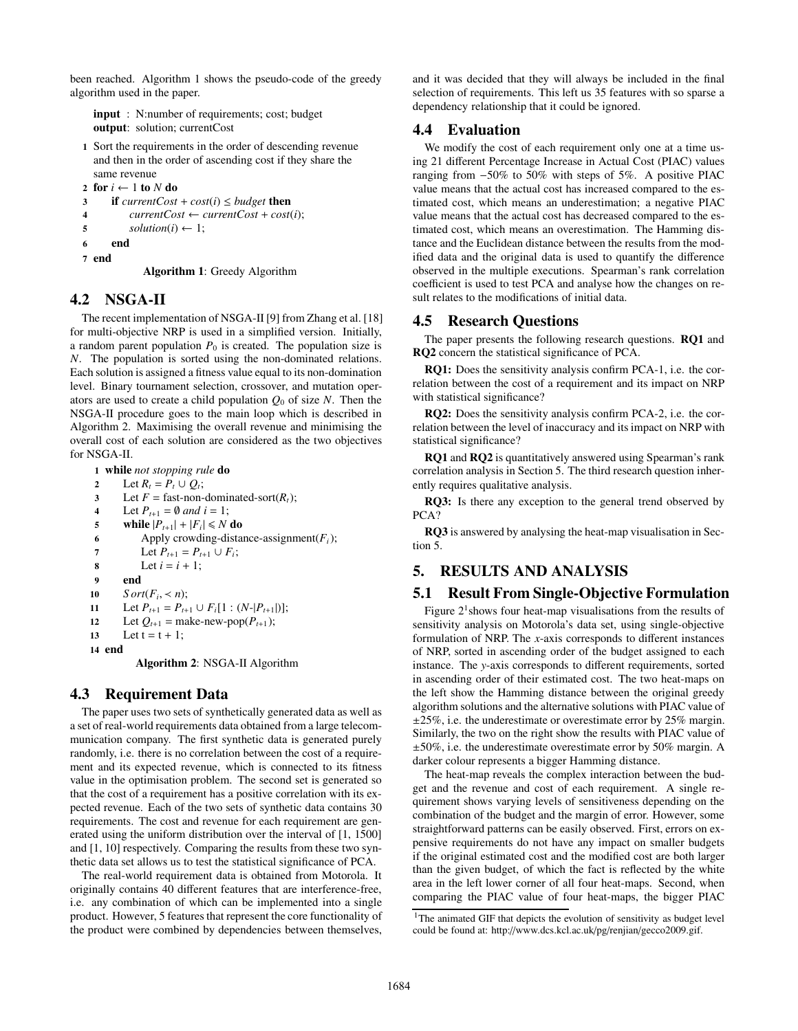been reached. Algorithm 1 shows the pseudo-code of the greedy algorithm used in the paper.

**input** : N:number of requirements; cost; budget **output**: solution; currentCost

**1** Sort the requirements in the order of descending revenue and then in the order of ascending cost if they share the same revenue

```
2 for i \leftarrow 1 to N do<br>3 if currentCost
```
**3 if**  $currentCost + cost(i) \le budget$  **then**<br>**4** *currentCost*  $\leftarrow currentCost + cost$ 

```
4 currentCost \leftarrow currentCost + cost(i);<br>5 solution(i) \leftarrow 1;
```
- $solution(i) \leftarrow 1;$
- **6 end**

**7 end**

**Algorithm 1**: Greedy Algorithm

# **4.2 NSGA-II**

The recent implementation of NSGA-II [9] from Zhang et al. [18] for multi-objective NRP is used in a simplified version. Initially, a random parent population  $P_0$  is created. The population size is *N*. The population is sorted using the non-dominated relations. Each solution is assigned a fitness value equal to its non-domination level. Binary tournament selection, crossover, and mutation operators are used to create a child population  $Q_0$  of size  $N$ . Then the NSGA-II procedure goes to the main loop which is described in Algorithm 2. Maximising the overall revenue and minimising the overall cost of each solution are considered as the two objectives for NSGA-II.

**1 while** *not stopping rule* **do** 2 Let  $R_t = P_t \cup Q_t$ ;<br>3 Let  $F =$  fast-non-Let  $F =$  fast-non-dominated-sort( $R_t$ ); **4** Let  $P_{t+1} = \emptyset$  and  $i = 1$ ;<br>**5** while  $|P_{t+1}| + |F_i| \le N$ 5 while  $|P_{t+1}| + |F_i| \le N$  do<br>6 Apply crowding-distan Apply crowding-distance-assignment( $F_i$ ); 7 Let  $P_{t+1} = P_{t+1} \cup F_i$ ;<br>8 Let  $i = i + 1$ ; Let  $i = i + 1$ ; **9 end 10**  $Sort(F_i, < n);$ <br>**11** Let  $P_{t+1} = P_{t+1}$ **11** Let  $P_{t+1} = P_{t+1} \cup F_i[1:(N-|P_{t+1}|)];$ <br> **12** Let  $Q_{t+1} = \text{make-new-pop}(P_{t+1});$ Let  $Q_{t+1}$  = make-new-pop( $P_{t+1}$ ); 13 Let  $t = t + 1$ ; **14 end Algorithm 2**: NSGA-II Algorithm

# **4.3 Requirement Data**

The paper uses two sets of synthetically generated data as well as a set of real-world requirements data obtained from a large telecommunication company. The first synthetic data is generated purely randomly, i.e. there is no correlation between the cost of a requirement and its expected revenue, which is connected to its fitness value in the optimisation problem. The second set is generated so that the cost of a requirement has a positive correlation with its expected revenue. Each of the two sets of synthetic data contains 30 requirements. The cost and revenue for each requirement are generated using the uniform distribution over the interval of [1, 1500] and [1, 10] respectively. Comparing the results from these two synthetic data set allows us to test the statistical significance of PCA.

The real-world requirement data is obtained from Motorola. It originally contains 40 different features that are interference-free, i.e. any combination of which can be implemented into a single product. However, 5 features that represent the core functionality of the product were combined by dependencies between themselves,

and it was decided that they will always be included in the final selection of requirements. This left us 35 features with so sparse a dependency relationship that it could be ignored.

# **4.4 Evaluation**

We modify the cost of each requirement only one at a time using 21 different Percentage Increase in Actual Cost (PIAC) values ranging from −50% to 50% with steps of 5%. A positive PIAC value means that the actual cost has increased compared to the estimated cost, which means an underestimation; a negative PIAC value means that the actual cost has decreased compared to the estimated cost, which means an overestimation. The Hamming distance and the Euclidean distance between the results from the modified data and the original data is used to quantify the difference observed in the multiple executions. Spearman's rank correlation coefficient is used to test PCA and analyse how the changes on result relates to the modifications of initial data.

## **4.5 Research Questions**

The paper presents the following research questions. **RQ1** and **RQ2** concern the statistical significance of PCA.

**RQ1:** Does the sensitivity analysis confirm PCA-1, i.e. the correlation between the cost of a requirement and its impact on NRP with statistical significance?

**RQ2:** Does the sensitivity analysis confirm PCA-2, i.e. the correlation between the level of inaccuracy and its impact on NRP with statistical significance?

**RQ1** and **RQ2** is quantitatively answered using Spearman's rank correlation analysis in Section 5. The third research question inherently requires qualitative analysis.

**RQ3:** Is there any exception to the general trend observed by PCA?

**RQ3** is answered by analysing the heat-map visualisation in Section 5.

# **5. RESULTS AND ANALYSIS**

## **5.1 Result From Single-Objective Formulation**

Figure  $2<sup>1</sup>$  shows four heat-map visualisations from the results of sensitivity analysis on Motorola's data set, using single-objective formulation of NRP. The *x*-axis corresponds to different instances of NRP, sorted in ascending order of the budget assigned to each instance. The *y*-axis corresponds to different requirements, sorted in ascending order of their estimated cost. The two heat-maps on the left show the Hamming distance between the original greedy algorithm solutions and the alternative solutions with PIAC value of  $\pm 25\%$ , i.e. the underestimate or overestimate error by 25% margin. Similarly, the two on the right show the results with PIAC value of  $\pm 50\%$ , i.e. the underestimate overestimate error by 50% margin. A darker colour represents a bigger Hamming distance.

The heat-map reveals the complex interaction between the budget and the revenue and cost of each requirement. A single requirement shows varying levels of sensitiveness depending on the combination of the budget and the margin of error. However, some straightforward patterns can be easily observed. First, errors on expensive requirements do not have any impact on smaller budgets if the original estimated cost and the modified cost are both larger than the given budget, of which the fact is reflected by the white area in the left lower corner of all four heat-maps. Second, when comparing the PIAC value of four heat-maps, the bigger PIAC

<sup>&</sup>lt;sup>1</sup>The animated GIF that depicts the evolution of sensitivity as budget level could be found at: http://www.dcs.kcl.ac.uk/pg/renjian/gecco2009.gif.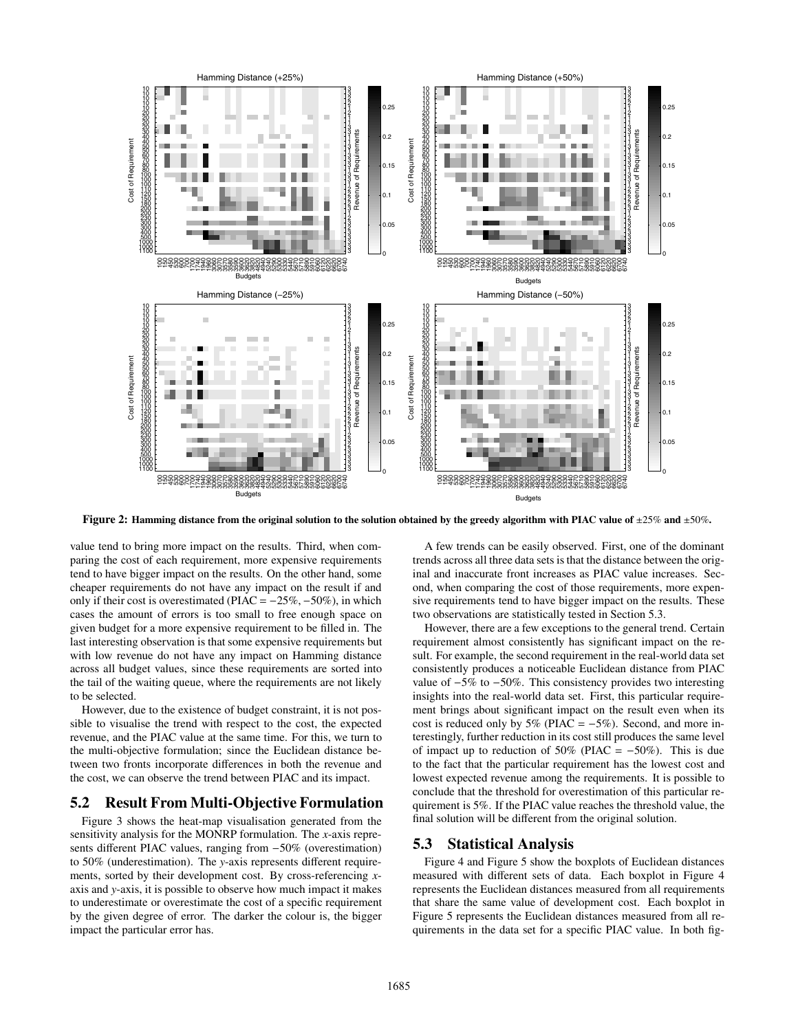

**Figure 2: Hamming distance from the original solution to the solution obtained by the greedy algorithm with PIAC value of** <sup>±</sup>25% **and** <sup>±</sup>50%**.**

value tend to bring more impact on the results. Third, when comparing the cost of each requirement, more expensive requirements tend to have bigger impact on the results. On the other hand, some cheaper requirements do not have any impact on the result if and only if their cost is overestimated (PIAC =  $-25\%$ ,  $-50\%$ ), in which cases the amount of errors is too small to free enough space on given budget for a more expensive requirement to be filled in. The last interesting observation is that some expensive requirements but with low revenue do not have any impact on Hamming distance across all budget values, since these requirements are sorted into the tail of the waiting queue, where the requirements are not likely to be selected.

However, due to the existence of budget constraint, it is not possible to visualise the trend with respect to the cost, the expected revenue, and the PIAC value at the same time. For this, we turn to the multi-objective formulation; since the Euclidean distance between two fronts incorporate differences in both the revenue and the cost, we can observe the trend between PIAC and its impact.

## **5.2 Result From Multi-Objective Formulation**

Figure 3 shows the heat-map visualisation generated from the sensitivity analysis for the MONRP formulation. The *x*-axis represents different PIAC values, ranging from −50% (overestimation) to 50% (underestimation). The *y*-axis represents different requirements, sorted by their development cost. By cross-referencing *x*axis and *y*-axis, it is possible to observe how much impact it makes to underestimate or overestimate the cost of a specific requirement by the given degree of error. The darker the colour is, the bigger impact the particular error has.

A few trends can be easily observed. First, one of the dominant trends across all three data sets is that the distance between the original and inaccurate front increases as PIAC value increases. Second, when comparing the cost of those requirements, more expensive requirements tend to have bigger impact on the results. These two observations are statistically tested in Section 5.3.

However, there are a few exceptions to the general trend. Certain requirement almost consistently has significant impact on the result. For example, the second requirement in the real-world data set consistently produces a noticeable Euclidean distance from PIAC value of −5% to −50%. This consistency provides two interesting insights into the real-world data set. First, this particular requirement brings about significant impact on the result even when its cost is reduced only by  $5\%$  (PIAC =  $-5\%$ ). Second, and more interestingly, further reduction in its cost still produces the same level of impact up to reduction of 50% (PIAC =  $-50\%$ ). This is due to the fact that the particular requirement has the lowest cost and lowest expected revenue among the requirements. It is possible to conclude that the threshold for overestimation of this particular requirement is 5%. If the PIAC value reaches the threshold value, the final solution will be different from the original solution.

## **5.3 Statistical Analysis**

Figure 4 and Figure 5 show the boxplots of Euclidean distances measured with different sets of data. Each boxplot in Figure 4 represents the Euclidean distances measured from all requirements that share the same value of development cost. Each boxplot in Figure 5 represents the Euclidean distances measured from all requirements in the data set for a specific PIAC value. In both fig-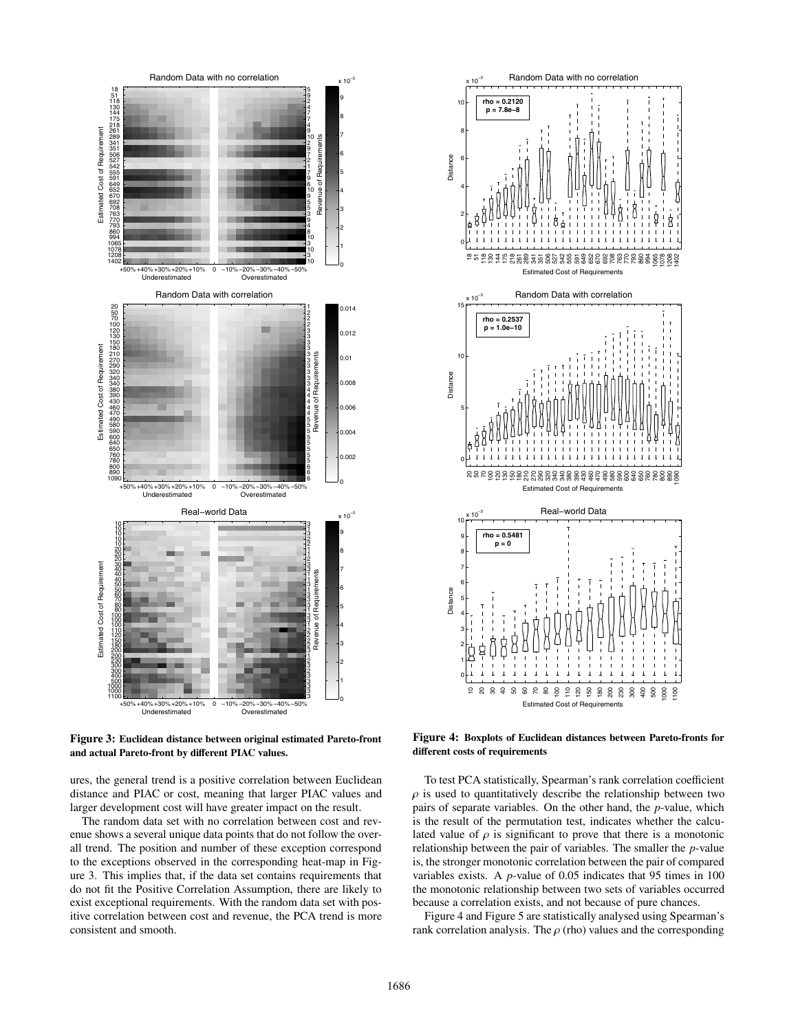![](_page_5_Figure_0.jpeg)

**Figure 3: Euclidean distance between original estimated Pareto-front and actual Pareto-front by di**ff**erent PIAC values.**

ures, the general trend is a positive correlation between Euclidean distance and PIAC or cost, meaning that larger PIAC values and larger development cost will have greater impact on the result.

The random data set with no correlation between cost and revenue shows a several unique data points that do not follow the overall trend. The position and number of these exception correspond to the exceptions observed in the corresponding heat-map in Figure 3. This implies that, if the data set contains requirements that do not fit the Positive Correlation Assumption, there are likely to exist exceptional requirements. With the random data set with positive correlation between cost and revenue, the PCA trend is more consistent and smooth.

![](_page_5_Figure_4.jpeg)

**Figure 4: Boxplots of Euclidean distances between Pareto-fronts for di**ff**erent costs of requirements**

To test PCA statistically, Spearman's rank correlation coefficient  $\rho$  is used to quantitatively describe the relationship between two pairs of separate variables. On the other hand, the *p*-value, which is the result of the permutation test, indicates whether the calculated value of  $\rho$  is significant to prove that there is a monotonic relationship between the pair of variables. The smaller the *p*-value is, the stronger monotonic correlation between the pair of compared variables exists. A *p*-value of 0.05 indicates that 95 times in 100 the monotonic relationship between two sets of variables occurred because a correlation exists, and not because of pure chances.

Figure 4 and Figure 5 are statistically analysed using Spearman's rank correlation analysis. The  $\rho$  (rho) values and the corresponding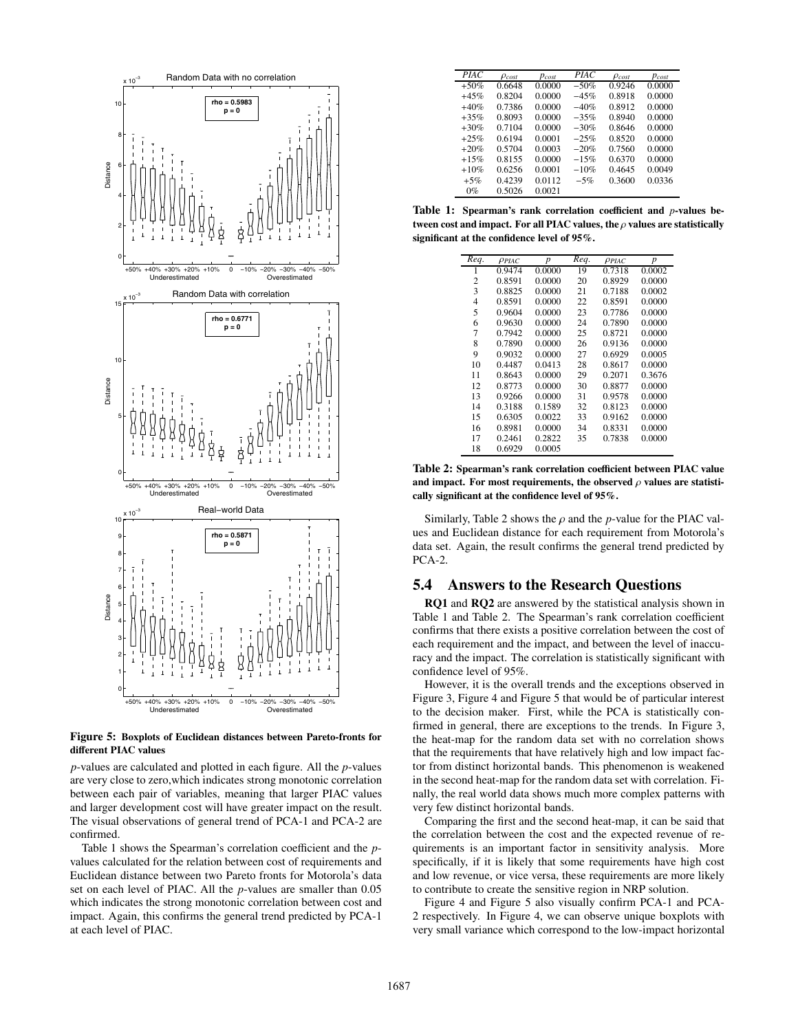![](_page_6_Figure_0.jpeg)

**Figure 5: Boxplots of Euclidean distances between Pareto-fronts for di**ff**erent PIAC values**

*p*-values are calculated and plotted in each figure. All the *p*-values are very close to zero,which indicates strong monotonic correlation between each pair of variables, meaning that larger PIAC values and larger development cost will have greater impact on the result. The visual observations of general trend of PCA-1 and PCA-2 are confirmed.

Table 1 shows the Spearman's correlation coefficient and the *p*values calculated for the relation between cost of requirements and Euclidean distance between two Pareto fronts for Motorola's data set on each level of PIAC. All the *p*-values are smaller than 0.05 which indicates the strong monotonic correlation between cost and impact. Again, this confirms the general trend predicted by PCA-1 at each level of PIAC.

| <b>PIAC</b> | $\rho_{cost}$ | $p_{cost}$ | <i>PIAC</i> | $\rho_{cost}$ | $p_{cost}$ |
|-------------|---------------|------------|-------------|---------------|------------|
| $+50%$      | 0.6648        | 0.0000     | $-50\%$     | 0.9246        | 0.0000     |
| $+45%$      | 0.8204        | 0.0000     | $-45%$      | 0.8918        | 0.0000     |
| $+40%$      | 0.7386        | 0.0000     | $-40%$      | 0.8912        | 0.0000     |
| $+35%$      | 0.8093        | 0.0000     | $-35%$      | 0.8940        | 0.0000     |
| $+30%$      | 0.7104        | 0.0000     | $-30%$      | 0.8646        | 0.0000     |
| $+25%$      | 0.6194        | 0.0001     | $-25%$      | 0.8520        | 0.0000     |
| $+20%$      | 0.5704        | 0.0003     | $-20%$      | 0.7560        | 0.0000     |
| $+15%$      | 0.8155        | 0.0000     | $-15%$      | 0.6370        | 0.0000     |
| $+10%$      | 0.6256        | 0.0001     | $-10%$      | 0.4645        | 0.0049     |
| $+5%$       | 0.4239        | 0.0112     | $-5%$       | 0.3600        | 0.0336     |
| $0\%$       | 0.5026        | 0.0021     |             |               |            |

Table 1: Spearman's rank correlation coefficient and *p*-values be**tween cost and impact. For all PIAC values, the** ρ **values are statistically significant at the confidence level of 95%.**

| Req. | $\rho$ piac | $\boldsymbol{p}$ | Req. | PPLAC  | p      |
|------|-------------|------------------|------|--------|--------|
|      | 0.9474      | 0.0000           | 19   | 0.7318 | 0.0002 |
| 2    | 0.8591      | 0.0000           | 20   | 0.8929 | 0.0000 |
| 3    | 0.8825      | 0.0000           | 21   | 0.7188 | 0.0002 |
| 4    | 0.8591      | 0.0000           | 22   | 0.8591 | 0.0000 |
| 5    | 0.9604      | 0.0000           | 23   | 0.7786 | 0.0000 |
| 6    | 0.9630      | 0.0000           | 24   | 0.7890 | 0.0000 |
| 7    | 0.7942      | 0.0000           | 25   | 0.8721 | 0.0000 |
| 8    | 0.7890      | 0.0000           | 26   | 0.9136 | 0.0000 |
| 9    | 0.9032      | 0.0000           | 27   | 0.6929 | 0.0005 |
| 10   | 0.4487      | 0.0413           | 28   | 0.8617 | 0.0000 |
| 11   | 0.8643      | 0.0000           | 29   | 0.2071 | 0.3676 |
| 12   | 0.8773      | 0.0000           | 30   | 0.8877 | 0.0000 |
| 13   | 0.9266      | 0.0000           | 31   | 0.9578 | 0.0000 |
| 14   | 0.3188      | 0.1589           | 32   | 0.8123 | 0.0000 |
| 15   | 0.6305      | 0.0022           | 33   | 0.9162 | 0.0000 |
| 16   | 0.8981      | 0.0000           | 34   | 0.8331 | 0.0000 |
| 17   | 0.2461      | 0.2822           | 35   | 0.7838 | 0.0000 |
| 18   | 0.6929      | 0.0005           |      |        |        |

Table 2: Spearman's rank correlation coefficient between PIAC value and impact. For most requirements, the observed  $\rho$  values are statisti**cally significant at the confidence level of 95%.**

Similarly, Table 2 shows the  $\rho$  and the *p*-value for the PIAC values and Euclidean distance for each requirement from Motorola's data set. Again, the result confirms the general trend predicted by PCA-2.

## **5.4 Answers to the Research Questions**

**RQ1** and **RQ2** are answered by the statistical analysis shown in Table 1 and Table 2. The Spearman's rank correlation coefficient confirms that there exists a positive correlation between the cost of each requirement and the impact, and between the level of inaccuracy and the impact. The correlation is statistically significant with confidence level of 95%.

However, it is the overall trends and the exceptions observed in Figure 3, Figure 4 and Figure 5 that would be of particular interest to the decision maker. First, while the PCA is statistically confirmed in general, there are exceptions to the trends. In Figure 3, the heat-map for the random data set with no correlation shows that the requirements that have relatively high and low impact factor from distinct horizontal bands. This phenomenon is weakened in the second heat-map for the random data set with correlation. Finally, the real world data shows much more complex patterns with very few distinct horizontal bands.

Comparing the first and the second heat-map, it can be said that the correlation between the cost and the expected revenue of requirements is an important factor in sensitivity analysis. More specifically, if it is likely that some requirements have high cost and low revenue, or vice versa, these requirements are more likely to contribute to create the sensitive region in NRP solution.

Figure 4 and Figure 5 also visually confirm PCA-1 and PCA-2 respectively. In Figure 4, we can observe unique boxplots with very small variance which correspond to the low-impact horizontal